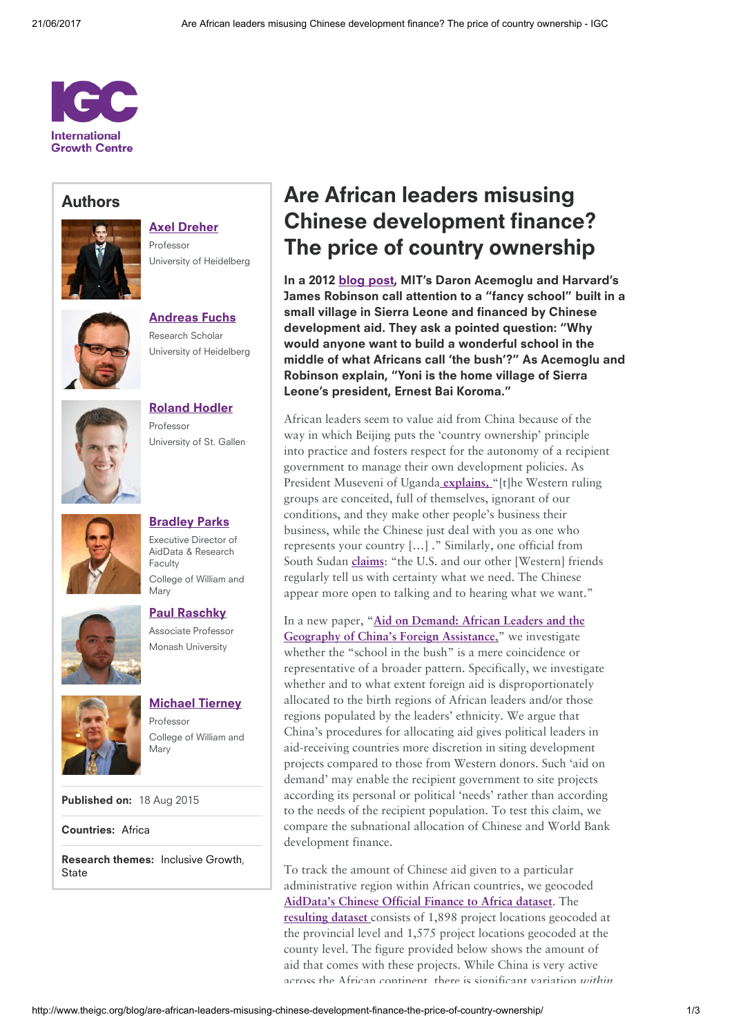

## Authors



Professor University of Heidelberg

Axel [Dreher](http://www.theigc.org/person/axel-dreher/)



[Andreas](http://www.theigc.org/person/andreas-fuchs/) Fuchs Research Scholar University of Heidelberg



[Roland](http://www.theigc.org/person/roland-hodler/) Hodler Professor University of St. Gallen



Executive Director of AidData & Research Faculty College of William and Mary Paul [Raschky](http://www.theigc.org/person/paul-raschky/)

Associate Professor Monash University

**[Bradley](http://www.theigc.org/person/brad-parks/) Parks** 





[Michael](http://www.theigc.org/person/michael-tierney/) Tierney Professor College of William and Mary

Published on: 18 Aug 2015

Countries: [Africa](http://www.theigc.org/search/?hidden-s&select-country-cat%5B0%5D=africa)

Research themes: [Inclusive](http://www.theigc.org/search/?hidden-s&select-research-themes%5B0%5D=inclusive-growth) Growth, **[State](http://www.theigc.org/search/?hidden-s&select-research-themes%5B0%5D=state)** 

## Are African leaders misusing Chinese development finance? The price of country ownership

In a 2012 [blog](http://whynationsfail.com/blog/2012/2/27/fancy-schools.html) post, MIT's Daron Acemoglu and Harvard's James Robinson call attention to a "fancy school" built in a small village in Sierra Leone and financed by Chinese development aid. They ask a pointed question: "Why would anyone want to build a wonderful school in the middle of what Africans call 'the bush'?" As Acemoglu and Robinson explain, "Yoni is the home village of Sierra Leone's president, Ernest Bai Koroma."

African leaders seem to value aid from China because of the way in which Beijing puts the 'country ownership' principle into practice and fosters respect for the autonomy of a recipient government to manage their own development policies. As President Museveni of Uganda [explains,](https://books.google.com/books?id=kqE_nqdrXJoC&pg=PA100&lpg=PA100&dq=halper+%22groups+are+conceited,+full+of+themselves,+ignorant+of+our+conditions,+and+they+make+other%22&source=bl&ots=TuXc9MA7bt&sig=2ueSYzitGJo4ZPogOPzklMtz1Ck&hl=en&sa=X&ved=0CB4Q6AEwAGoVChMIhfu1-6iFxwIVwuKACh0aKgkc#v=onepage&q=halper%20%22groups%20are%20conceited%2C%20full%20of%20themselves%2C%20ignorant%20of%20our%20conditions%2C%20and%20they%20make%20other%22&f=false) "[t]he Western ruling groups are conceited, full of themselves, ignorant of our conditions, and they make other people's business their business, while the Chinese just deal with you as one who represents your country […] ." Similarly, one official from South Sudan [claims](http://www.crisisgroup.org/~/media/Files/africa/horn-of-africa/sudan/186-chinas-new-courtship-in-south-sudan.pdf): "the U.S. and our other [Western] friends regularly tell us with certainty what we need. The Chinese appear more open to talking and to hearing what we want."

In a new paper, "Aid on Demand: African Leaders and the Geography of China's Foreign [Assistance,"](http://www.cesifo-group.de/de/ifoHome/publications/working-papers/CESifoWP/CESifoWPdetails?wp_id=19169883) we investigate whether the "school in the bush" is a mere coincidence or representative of a broader pattern. Specifically, we investigate whether and to what extent foreign aid is disproportionately allocated to the birth regions of African leaders and/or those regions populated by the leaders' ethnicity. We argue that China's procedures for allocating aid gives political leaders in aid-receiving countries more discretion in siting development projects compared to those from Western donors. Such 'aid on demand' may enable the recipient government to site projects according its personal or political 'needs' rather than according to the needs of the recipient population. To test this claim, we compare the subnational allocation of Chinese and World Bank development finance.

To track the amount of Chinese aid given to a particular administrative region within African countries, we geocoded [AidData's](http://china.aiddata.org/) Chinese Official Finance to Africa dataset. The [resulting](http://www.tandfonline.com/doi/abs/10.1080/10967494.2011.588588) dataset consists of 1,898 project locations geocoded at the provincial level and 1,575 project locations geocoded at the county level. The figure provided below shows the amount of aid that comes with these projects. While China is very active across the African continent, there is significant variation within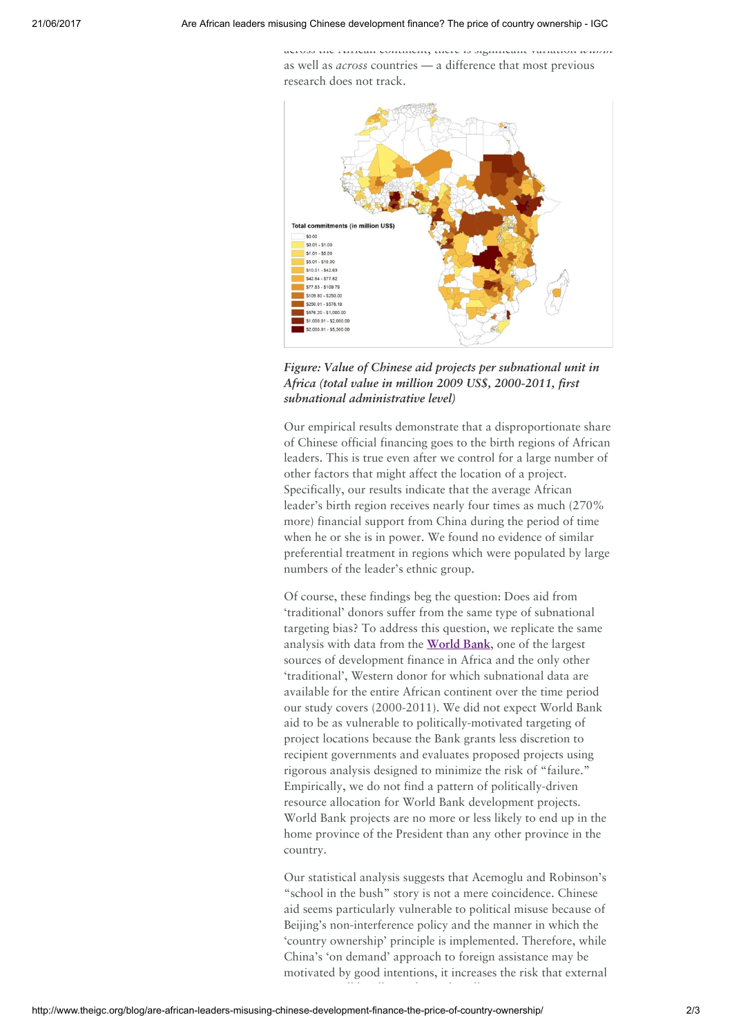across the African continent, there is significant variation within as well as across countries — a difference that most previous research does not track.



Figure: Value of Chinese aid projects per subnational unit in Africa (total value in million 2009 US\$, 2000-2011, first subnational administrative level)

Our empirical results demonstrate that a disproportionate share of Chinese official financing goes to the birth regions of African leaders. This is true even after we control for a large number of other factors that might affect the location of a project. Specifically, our results indicate that the average African leader's birth region receives nearly four times as much (270% more) financial support from China during the period of time when he or she is in power. We found no evidence of similar preferential treatment in regions which were populated by large numbers of the leader's ethnic group.

Of course, these findings beg the question: Does aid from 'traditional' donors suffer from the same type of subnational targeting bias? To address this question, we replicate the same analysis with data from the [World](http://aiddata.org/blog/a-5-minute-dive-into-our-new-geocoded-world-bank-data) Bank, one of the largest sources of development finance in Africa and the only other 'traditional', Western donor for which subnational data are available for the entire African continent over the time period our study covers (2000-2011). We did not expect World Bank aid to be as vulnerable to politically-motivated targeting of project locations because the Bank grants less discretion to recipient governments and evaluates proposed projects using rigorous analysis designed to minimize the risk of "failure." Empirically, we do not find a pattern of politically-driven resource allocation for World Bank development projects. World Bank projects are no more or less likely to end up in the home province of the President than any other province in the country.

Our statistical analysis suggests that Acemoglu and Robinson's "school in the bush" story is not a mere coincidence. Chinese aid seems particularly vulnerable to political misuse because of Beijing's non-interference policy and the manner in which the 'country ownership' principle is implemented. Therefore, while China's 'on demand' approach to foreign assistance may be motivated by good intentions, it increases the risk that external